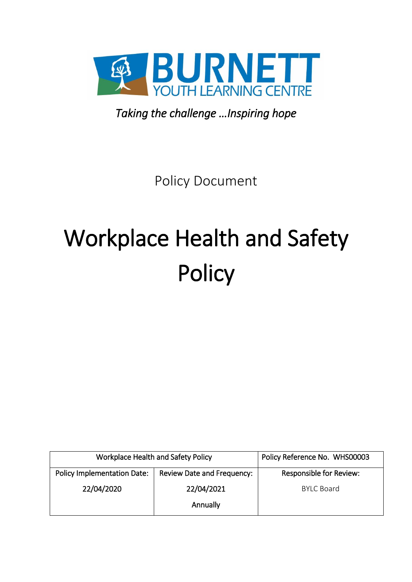

*Taking the challenge …Inspiring hope* 

Policy Document

# Workplace Health and Safety **Policy**

| Workplace Health and Safety Policy |                                   | Policy Reference No. WHS00003  |
|------------------------------------|-----------------------------------|--------------------------------|
| <b>Policy Implementation Date:</b> | <b>Review Date and Frequency:</b> | <b>Responsible for Review:</b> |
| 22/04/2020                         | 22/04/2021                        | <b>BYLC Board</b>              |
|                                    | Annually                          |                                |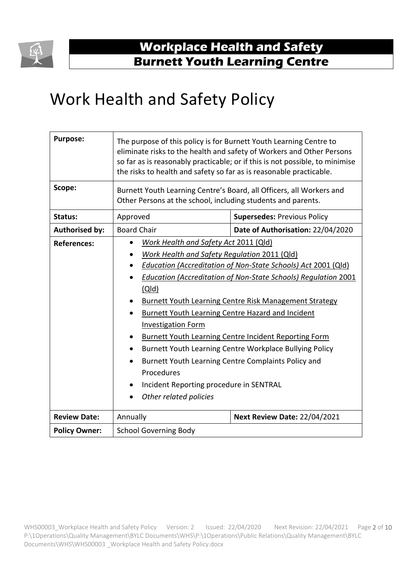

## Work Health and Safety Policy

| <b>Purpose:</b>       | The purpose of this policy is for Burnett Youth Learning Centre to<br>eliminate risks to the health and safety of Workers and Other Persons<br>so far as is reasonably practicable; or if this is not possible, to minimise<br>the risks to health and safety so far as is reasonable practicable.                                                                                                                                                                                                                                                                                                                                                                                                                           |                                     |  |
|-----------------------|------------------------------------------------------------------------------------------------------------------------------------------------------------------------------------------------------------------------------------------------------------------------------------------------------------------------------------------------------------------------------------------------------------------------------------------------------------------------------------------------------------------------------------------------------------------------------------------------------------------------------------------------------------------------------------------------------------------------------|-------------------------------------|--|
| Scope:                | Burnett Youth Learning Centre's Board, all Officers, all Workers and<br>Other Persons at the school, including students and parents.                                                                                                                                                                                                                                                                                                                                                                                                                                                                                                                                                                                         |                                     |  |
| <b>Status:</b>        | Approved                                                                                                                                                                                                                                                                                                                                                                                                                                                                                                                                                                                                                                                                                                                     | <b>Supersedes: Previous Policy</b>  |  |
| <b>Authorised by:</b> | <b>Board Chair</b>                                                                                                                                                                                                                                                                                                                                                                                                                                                                                                                                                                                                                                                                                                           | Date of Authorisation: 22/04/2020   |  |
| <b>References:</b>    | Work Health and Safety Act 2011 (Qld)<br><b>Work Health and Safety Regulation 2011 (Qld)</b><br><b>Education (Accreditation of Non-State Schools) Act 2001 (Qld)</b><br><b>Education (Accreditation of Non-State Schools) Regulation 2001</b><br>(Q d)<br><b>Burnett Youth Learning Centre Risk Management Strategy</b><br><b>Burnett Youth Learning Centre Hazard and Incident</b><br>$\bullet$<br><b>Investigation Form</b><br><b>Burnett Youth Learning Centre Incident Reporting Form</b><br>Burnett Youth Learning Centre Workplace Bullying Policy<br>$\bullet$<br>Burnett Youth Learning Centre Complaints Policy and<br>$\bullet$<br>Procedures<br>Incident Reporting procedure in SENTRAL<br>Other related policies |                                     |  |
| <b>Review Date:</b>   | Annually                                                                                                                                                                                                                                                                                                                                                                                                                                                                                                                                                                                                                                                                                                                     | <b>Next Review Date: 22/04/2021</b> |  |
| <b>Policy Owner:</b>  | <b>School Governing Body</b>                                                                                                                                                                                                                                                                                                                                                                                                                                                                                                                                                                                                                                                                                                 |                                     |  |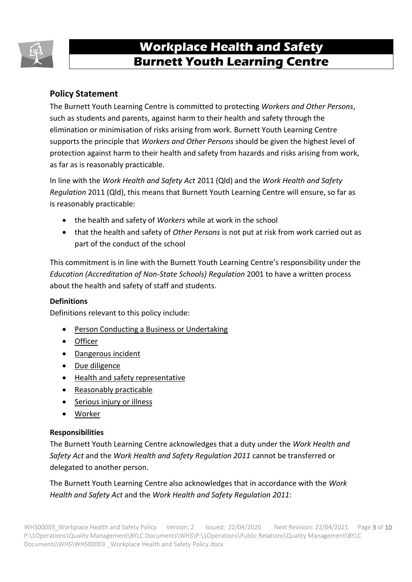

#### **Policy Statement**

The Burnett Youth Learning Centre is committed to protecting *Workers and Other Persons*, such as students and parents, against harm to their health and safety through the elimination or minimisation of risks arising from work. Burnett Youth Learning Centre supports the principle that *Workers and Other Persons* should be given the highest level of protection against harm to their health and safety from hazards and risks arising from work, as far as is reasonably practicable.

In line with the *Work Health and Safety Act* 2011 (Qld) and the *Work Health and Safety Regulation* 2011 (Qld), this means that Burnett Youth Learning Centre will ensure, so far as is reasonably practicable:

- the health and safety of *Workers* while at work in the school
- that the health and safety of *Other Persons* is not put at risk from work carried out as part of the conduct of the school

This commitment is in line with the Burnett Youth Learning Centre's responsibility under the *Education (Accreditation of Non-State Schools) Regulation* 2001 to have a written process about the health and safety of staff and students.

#### **Definitions**

Definitions relevant to this policy include:

- [Person Conducting a Business or Undertaking](https://www.worksafe.qld.gov.au/laws-and-compliance/workplace-health-and-safety-laws/definitions)
- [Officer](https://www.worksafe.qld.gov.au/laws-and-compliance/workplace-health-and-safety-laws/definitions)
- [Dangerous incident](https://www.worksafe.qld.gov.au/injury-prevention-safety/injury-prevention-and-safety/what-is-an-incident#dangerous)
- [Due diligence](https://www.worksafe.qld.gov.au/laws-and-compliance/workplace-health-and-safety-laws/due-diligence)
- [Health and safety representative](https://www.worksafe.qld.gov.au/injury-prevention-safety/managing-risks/health-and-safety-representatives-and-health-and-safety-committees)
- [Reasonably practicable](https://www.worksafe.qld.gov.au/laws-and-compliance/workplace-health-and-safety-laws/definitions)
- [Serious injury or illness](https://www.worksafe.qld.gov.au/injury-prevention-safety/injury-prevention-and-safety/what-is-an-incident#injury)
- [Worker](https://www.worksafe.qld.gov.au/laws-and-compliance/workplace-health-and-safety-laws/definitions)

#### **Responsibilities**

The Burnett Youth Learning Centre acknowledges that a duty under the *Work Health and Safety Act* and the *Work Health and Safety Regulation 2011* cannot be transferred or delegated to another person.

The Burnett Youth Learning Centre also acknowledges that in accordance with the *Work Health and Safety Act* and the *Work Health and Safety Regulation 2011*: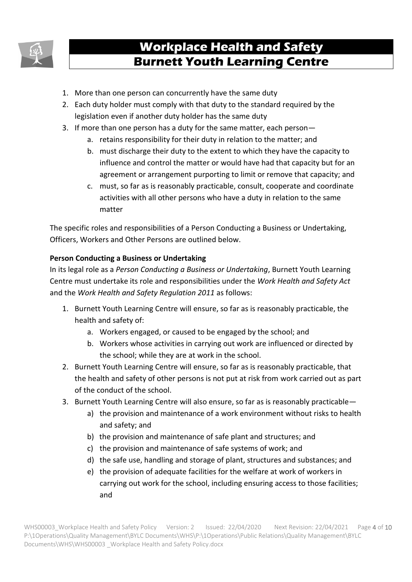

- 1. More than one person can concurrently have the same duty
- 2. Each duty holder must comply with that duty to the standard required by the legislation even if another duty holder has the same duty
- 3. If more than one person has a duty for the same matter, each person
	- a. retains responsibility for their duty in relation to the matter; and
		- b. must discharge their duty to the extent to which they have the capacity to influence and control the matter or would have had that capacity but for an agreement or arrangement purporting to limit or remove that capacity; and
	- c. must, so far as is reasonably practicable, consult, cooperate and coordinate activities with all other persons who have a duty in relation to the same matter

The specific roles and responsibilities of a Person Conducting a Business or Undertaking, Officers, Workers and Other Persons are outlined below.

#### **Person Conducting a Business or Undertaking**

In its legal role as a *Person Conducting a Business or Undertaking*, Burnett Youth Learning Centre must undertake its role and responsibilities under the *Work Health and Safety Act*  and the *Work Health and Safety Regulation 2011* as follows:

- 1. Burnett Youth Learning Centre will ensure, so far as is reasonably practicable, the health and safety of:
	- a. Workers engaged, or caused to be engaged by the school; and
	- b. Workers whose activities in carrying out work are influenced or directed by the school; while they are at work in the school.
- 2. Burnett Youth Learning Centre will ensure, so far as is reasonably practicable, that the health and safety of other persons is not put at risk from work carried out as part of the conduct of the school.
- 3. Burnett Youth Learning Centre will also ensure, so far as is reasonably practicable
	- a) the provision and maintenance of a work environment without risks to health and safety; and
	- b) the provision and maintenance of safe plant and structures; and
	- c) the provision and maintenance of safe systems of work; and
	- d) the safe use, handling and storage of plant, structures and substances; and
	- e) the provision of adequate facilities for the welfare at work of workers in carrying out work for the school, including ensuring access to those facilities; and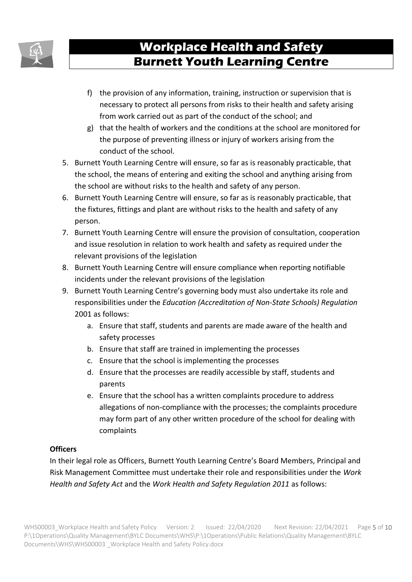

- f) the provision of any information, training, instruction or supervision that is necessary to protect all persons from risks to their health and safety arising from work carried out as part of the conduct of the school; and
- g) that the health of workers and the conditions at the school are monitored for the purpose of preventing illness or injury of workers arising from the conduct of the school.
- 5. Burnett Youth Learning Centre will ensure, so far as is reasonably practicable, that the school, the means of entering and exiting the school and anything arising from the school are without risks to the health and safety of any person.
- 6. Burnett Youth Learning Centre will ensure, so far as is reasonably practicable, that the fixtures, fittings and plant are without risks to the health and safety of any person.
- 7. Burnett Youth Learning Centre will ensure the provision of consultation, cooperation and issue resolution in relation to work health and safety as required under the relevant provisions of the legislation
- 8. Burnett Youth Learning Centre will ensure compliance when reporting notifiable incidents under the relevant provisions of the legislation
- 9. Burnett Youth Learning Centre's governing body must also undertake its role and responsibilities under the *Education (Accreditation of Non-State Schools) Regulation*  2001 as follows:
	- a. Ensure that staff, students and parents are made aware of the health and safety processes
	- b. Ensure that staff are trained in implementing the processes
	- c. Ensure that the school is implementing the processes
	- d. Ensure that the processes are readily accessible by staff, students and parents
	- e. Ensure that the school has a written complaints procedure to address allegations of non-compliance with the processes; the complaints procedure may form part of any other written procedure of the school for dealing with complaints

#### **Officers**

In their legal role as Officers, Burnett Youth Learning Centre's Board Members, Principal and Risk Management Committee must undertake their role and responsibilities under the *Work Health and Safety Act* and the *Work Health and Safety Regulation 2011* as follows: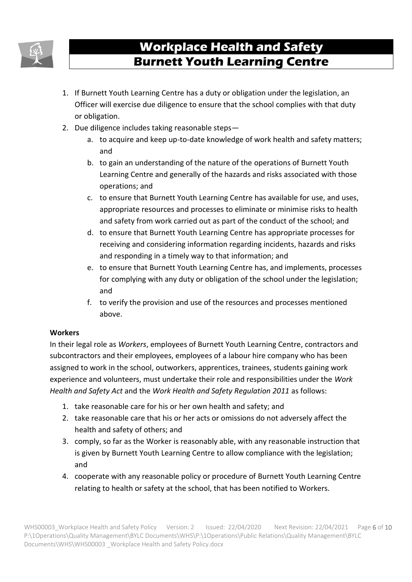

- 1. If Burnett Youth Learning Centre has a duty or obligation under the legislation, an Officer will exercise due diligence to ensure that the school complies with that duty or obligation.
- 2. Due diligence includes taking reasonable steps
	- a. to acquire and keep up-to-date knowledge of work health and safety matters; and
	- b. to gain an understanding of the nature of the operations of Burnett Youth Learning Centre and generally of the hazards and risks associated with those operations; and
	- c. to ensure that Burnett Youth Learning Centre has available for use, and uses, appropriate resources and processes to eliminate or minimise risks to health and safety from work carried out as part of the conduct of the school; and
	- d. to ensure that Burnett Youth Learning Centre has appropriate processes for receiving and considering information regarding incidents, hazards and risks and responding in a timely way to that information; and
	- e. to ensure that Burnett Youth Learning Centre has, and implements, processes for complying with any duty or obligation of the school under the legislation; and
	- f. to verify the provision and use of the resources and processes mentioned above.

#### **Workers**

In their legal role as *Workers*, employees of Burnett Youth Learning Centre, contractors and subcontractors and their employees, employees of a labour hire company who has been assigned to work in the school, outworkers, apprentices, trainees, students gaining work experience and volunteers, must undertake their role and responsibilities under the *Work Health and Safety Act* and the *Work Health and Safety Regulation 2011* as follows:

- 1. take reasonable care for his or her own health and safety; and
- 2. take reasonable care that his or her acts or omissions do not adversely affect the health and safety of others; and
- 3. comply, so far as the Worker is reasonably able, with any reasonable instruction that is given by Burnett Youth Learning Centre to allow compliance with the legislation; and
- 4. cooperate with any reasonable policy or procedure of Burnett Youth Learning Centre relating to health or safety at the school, that has been notified to Workers.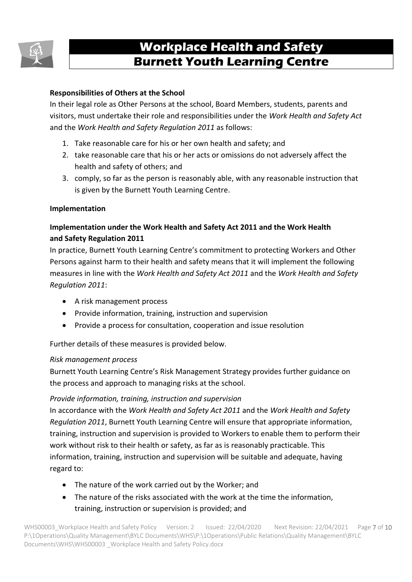

#### **Responsibilities of Others at the School**

In their legal role as Other Persons at the school, Board Members, students, parents and visitors, must undertake their role and responsibilities under the *Work Health and Safety Act*  and the *Work Health and Safety Regulation 2011* as follows:

- 1. Take reasonable care for his or her own health and safety; and
- 2. take reasonable care that his or her acts or omissions do not adversely affect the health and safety of others; and
- 3. comply, so far as the person is reasonably able, with any reasonable instruction that is given by the Burnett Youth Learning Centre.

#### **Implementation**

#### **Implementation under the Work Health and Safety Act 2011 and the Work Health and Safety Regulation 2011**

In practice, Burnett Youth Learning Centre's commitment to protecting Workers and Other Persons against harm to their health and safety means that it will implement the following measures in line with the *Work Health and Safety Act 2011* and the *Work Health and Safety Regulation 2011*:

- A risk management process
- Provide information, training, instruction and supervision
- Provide a process for consultation, cooperation and issue resolution

Further details of these measures is provided below.

#### *Risk management process*

Burnett Youth Learning Centre's Risk Management Strategy provides further guidance on the process and approach to managing risks at the school.

#### *Provide information, training, instruction and supervision*

In accordance with the *Work Health and Safety Act 2011* and the *Work Health and Safety Regulation 2011*, Burnett Youth Learning Centre will ensure that appropriate information, training, instruction and supervision is provided to Workers to enable them to perform their work without risk to their health or safety, as far as is reasonably practicable. This information, training, instruction and supervision will be suitable and adequate, having regard to:

- The nature of the work carried out by the Worker; and
- The nature of the risks associated with the work at the time the information, training, instruction or supervision is provided; and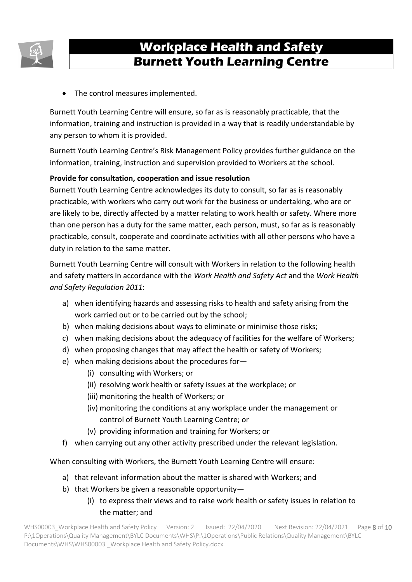

• The control measures implemented.

Burnett Youth Learning Centre will ensure, so far as is reasonably practicable, that the information, training and instruction is provided in a way that is readily understandable by any person to whom it is provided.

Burnett Youth Learning Centre's Risk Management Policy provides further guidance on the information, training, instruction and supervision provided to Workers at the school.

#### **Provide for consultation, cooperation and issue resolution**

Burnett Youth Learning Centre acknowledges its duty to consult, so far as is reasonably practicable, with workers who carry out work for the business or undertaking, who are or are likely to be, directly affected by a matter relating to work health or safety. Where more than one person has a duty for the same matter, each person, must, so far as is reasonably practicable, consult, cooperate and coordinate activities with all other persons who have a duty in relation to the same matter.

Burnett Youth Learning Centre will consult with Workers in relation to the following health and safety matters in accordance with the *Work Health and Safety Act* and the *Work Health and Safety Regulation 2011*:

- a) when identifying hazards and assessing risks to health and safety arising from the work carried out or to be carried out by the school;
- b) when making decisions about ways to eliminate or minimise those risks;
- c) when making decisions about the adequacy of facilities for the welfare of Workers;
- d) when proposing changes that may affect the health or safety of Workers;
- e) when making decisions about the procedures for—
	- (i) consulting with Workers; or
	- (ii) resolving work health or safety issues at the workplace; or
	- (iii) monitoring the health of Workers; or
	- (iv) monitoring the conditions at any workplace under the management or control of Burnett Youth Learning Centre; or
	- (v) providing information and training for Workers; or
- f) when carrying out any other activity prescribed under the relevant legislation.

When consulting with Workers, the Burnett Youth Learning Centre will ensure:

- a) that relevant information about the matter is shared with Workers; and
- b) that Workers be given a reasonable opportunity—
	- (i) to express their views and to raise work health or safety issues in relation to the matter; and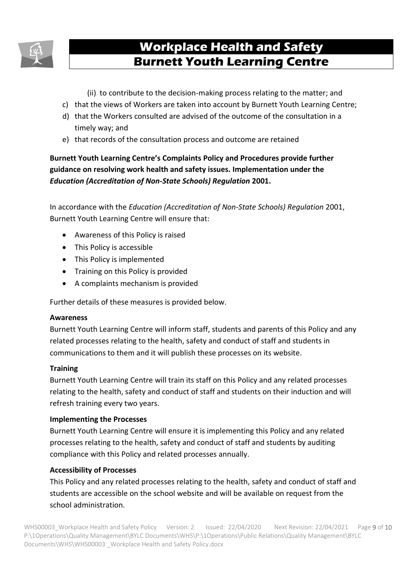

- (ii) to contribute to the decision-making process relating to the matter; and
- c) that the views of Workers are taken into account by Burnett Youth Learning Centre;
- d) that the Workers consulted are advised of the outcome of the consultation in a timely way; and
- e) that records of the consultation process and outcome are retained

#### **Burnett Youth Learning Centre's Complaints Policy and Procedures provide further guidance on resolving work health and safety issues. Implementation under the**  *Education (Accreditation of Non-State Schools) Regulation* **2001.**

In accordance with the *Education (Accreditation of Non-State Schools) Regulation* 2001, Burnett Youth Learning Centre will ensure that:

- Awareness of this Policy is raised
- This Policy is accessible
- This Policy is implemented
- Training on this Policy is provided
- A complaints mechanism is provided

Further details of these measures is provided below.

#### **Awareness**

Burnett Youth Learning Centre will inform staff, students and parents of this Policy and any related processes relating to the health, safety and conduct of staff and students in communications to them and it will publish these processes on its website.

#### **Training**

Burnett Youth Learning Centre will train its staff on this Policy and any related processes relating to the health, safety and conduct of staff and students on their induction and will refresh training every two years.

#### **Implementing the Processes**

Burnett Youth Learning Centre will ensure it is implementing this Policy and any related processes relating to the health, safety and conduct of staff and students by auditing compliance with this Policy and related processes annually.

#### **Accessibility of Processes**

This Policy and any related processes relating to the health, safety and conduct of staff and students are accessible on the school website and will be available on request from the school administration.